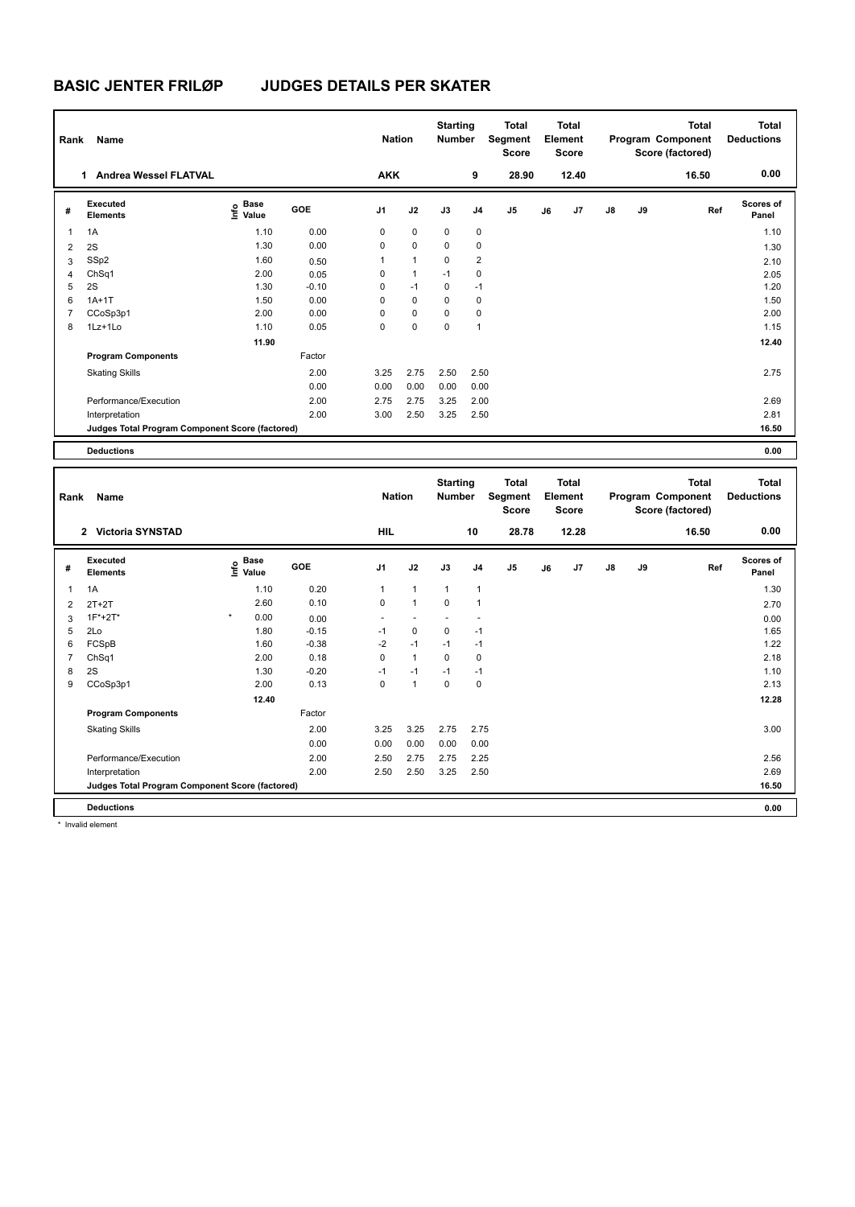| Rank | Name                                            |                                    |         | <b>Nation</b>  |                | <b>Starting</b><br><b>Number</b> |                | <b>Total</b><br>Segment<br><b>Score</b> |    | <b>Total</b><br>Element<br><b>Score</b> |               |    | Total<br>Program Component<br>Score (factored) | <b>Total</b><br><b>Deductions</b> |
|------|-------------------------------------------------|------------------------------------|---------|----------------|----------------|----------------------------------|----------------|-----------------------------------------|----|-----------------------------------------|---------------|----|------------------------------------------------|-----------------------------------|
|      | <b>Andrea Wessel FLATVAL</b><br>1.              |                                    |         | <b>AKK</b>     |                |                                  | 9              | 28.90                                   |    | 12.40                                   |               |    | 16.50                                          | 0.00                              |
| #    | Executed<br><b>Elements</b>                     | <b>Base</b><br>$\frac{6}{5}$ Value | GOE     | J <sub>1</sub> | J2             | J3                               | J <sub>4</sub> | J <sub>5</sub>                          | J6 | J7                                      | $\mathsf{J}8$ | J9 | Ref                                            | <b>Scores of</b><br>Panel         |
| 1    | 1A                                              | 1.10                               | 0.00    | 0              | 0              | 0                                | 0              |                                         |    |                                         |               |    |                                                | 1.10                              |
| 2    | 2S                                              | 1.30                               | 0.00    | 0              | $\mathbf 0$    | $\mathbf 0$                      | $\mathbf 0$    |                                         |    |                                         |               |    |                                                | 1.30                              |
| 3    | SSp2                                            | 1.60                               | 0.50    | 1              | $\overline{1}$ | $\mathbf 0$                      | $\overline{2}$ |                                         |    |                                         |               |    |                                                | 2.10                              |
| 4    | ChSq1                                           | 2.00                               | 0.05    | 0              | $\mathbf{1}$   | $-1$                             | 0              |                                         |    |                                         |               |    |                                                | 2.05                              |
| 5    | 2S                                              | 1.30                               | $-0.10$ | 0              | $-1$           | 0                                | $-1$           |                                         |    |                                         |               |    |                                                | 1.20                              |
| 6    | $1A+1T$                                         | 1.50                               | 0.00    | 0              | 0              | $\Omega$                         | 0              |                                         |    |                                         |               |    |                                                | 1.50                              |
| 7    | CCoSp3p1                                        | 2.00                               | 0.00    | 0              | $\mathbf 0$    | 0                                | 0              |                                         |    |                                         |               |    |                                                | 2.00                              |
| 8    | $1Lz+1L0$                                       | 1.10                               | 0.05    | 0              | $\pmb{0}$      | 0                                | $\overline{1}$ |                                         |    |                                         |               |    |                                                | 1.15                              |
|      |                                                 | 11.90                              |         |                |                |                                  |                |                                         |    |                                         |               |    |                                                | 12.40                             |
|      | <b>Program Components</b>                       |                                    | Factor  |                |                |                                  |                |                                         |    |                                         |               |    |                                                |                                   |
|      | <b>Skating Skills</b>                           |                                    | 2.00    | 3.25           | 2.75           | 2.50                             | 2.50           |                                         |    |                                         |               |    |                                                | 2.75                              |
|      |                                                 |                                    | 0.00    | 0.00           | 0.00           | 0.00                             | 0.00           |                                         |    |                                         |               |    |                                                |                                   |
|      | Performance/Execution                           |                                    | 2.00    | 2.75           | 2.75           | 3.25                             | 2.00           |                                         |    |                                         |               |    |                                                | 2.69                              |
|      | Interpretation                                  |                                    | 2.00    | 3.00           | 2.50           | 3.25                             | 2.50           |                                         |    |                                         |               |    |                                                | 2.81                              |
|      | Judges Total Program Component Score (factored) |                                    |         |                |                |                                  |                |                                         |    |                                         |               |    |                                                | 16.50                             |
|      | <b>Deductions</b>                               |                                    |         |                |                |                                  |                |                                         |    |                                         |               |    |                                                | 0.00                              |

| Rank | Name                                            |         |                                           |         | <b>Nation</b>  |              | <b>Starting</b><br><b>Number</b> |                | <b>Total</b><br>Segment<br><b>Score</b> |    | <b>Total</b><br>Element<br><b>Score</b> |               |    | Total<br>Program Component<br>Score (factored) | <b>Total</b><br><b>Deductions</b> |
|------|-------------------------------------------------|---------|-------------------------------------------|---------|----------------|--------------|----------------------------------|----------------|-----------------------------------------|----|-----------------------------------------|---------------|----|------------------------------------------------|-----------------------------------|
|      | 2 Victoria SYNSTAD                              |         |                                           |         | <b>HIL</b>     |              |                                  | 10             | 28.78                                   |    | 12.28                                   |               |    | 16.50                                          | 0.00                              |
| #    | Executed<br><b>Elements</b>                     |         | $\frac{e}{E}$ Base<br>$\frac{E}{E}$ Value | GOE     | J <sub>1</sub> | J2           | J3                               | J <sub>4</sub> | J <sub>5</sub>                          | J6 | J7                                      | $\mathsf{J}8$ | J9 | Ref                                            | <b>Scores of</b><br>Panel         |
| 1    | 1A                                              |         | 1.10                                      | 0.20    | 1              | $\mathbf{1}$ | $\mathbf{1}$                     | $\mathbf{1}$   |                                         |    |                                         |               |    |                                                | 1.30                              |
| 2    | $2T+2T$                                         |         | 2.60                                      | 0.10    | $\mathbf 0$    | $\mathbf{1}$ | $\mathbf 0$                      | $\overline{1}$ |                                         |    |                                         |               |    |                                                | 2.70                              |
| 3    | $1F^*+2T^*$                                     | $\star$ | 0.00                                      | 0.00    | ۰              |              |                                  | ٠              |                                         |    |                                         |               |    |                                                | 0.00                              |
| 5    | 2Lo                                             |         | 1.80                                      | $-0.15$ | $-1$           | $\mathbf 0$  | $\mathbf 0$                      | $-1$           |                                         |    |                                         |               |    |                                                | 1.65                              |
| 6    | FCSpB                                           |         | 1.60                                      | $-0.38$ | $-2$           | $-1$         | $-1$                             | $-1$           |                                         |    |                                         |               |    |                                                | 1.22                              |
| 7    | ChSq1                                           |         | 2.00                                      | 0.18    | 0              | $\mathbf{1}$ | 0                                | 0              |                                         |    |                                         |               |    |                                                | 2.18                              |
| 8    | 2S                                              |         | 1.30                                      | $-0.20$ | $-1$           | $-1$         | $-1$                             | $-1$           |                                         |    |                                         |               |    |                                                | 1.10                              |
| 9    | CCoSp3p1                                        |         | 2.00                                      | 0.13    | 0              | $\mathbf{1}$ | $\mathbf 0$                      | $\mathbf 0$    |                                         |    |                                         |               |    |                                                | 2.13                              |
|      |                                                 |         | 12.40                                     |         |                |              |                                  |                |                                         |    |                                         |               |    |                                                | 12.28                             |
|      | <b>Program Components</b>                       |         |                                           | Factor  |                |              |                                  |                |                                         |    |                                         |               |    |                                                |                                   |
|      | <b>Skating Skills</b>                           |         |                                           | 2.00    | 3.25           | 3.25         | 2.75                             | 2.75           |                                         |    |                                         |               |    |                                                | 3.00                              |
|      |                                                 |         |                                           | 0.00    | 0.00           | 0.00         | 0.00                             | 0.00           |                                         |    |                                         |               |    |                                                |                                   |
|      | Performance/Execution                           |         |                                           | 2.00    | 2.50           | 2.75         | 2.75                             | 2.25           |                                         |    |                                         |               |    |                                                | 2.56                              |
|      | Interpretation                                  |         |                                           | 2.00    | 2.50           | 2.50         | 3.25                             | 2.50           |                                         |    |                                         |               |    |                                                | 2.69                              |
|      | Judges Total Program Component Score (factored) |         |                                           |         |                |              |                                  |                |                                         |    |                                         |               |    |                                                | 16.50                             |
|      | <b>Deductions</b>                               |         |                                           |         |                |              |                                  |                |                                         |    |                                         |               |    |                                                | 0.00                              |

\* Invalid element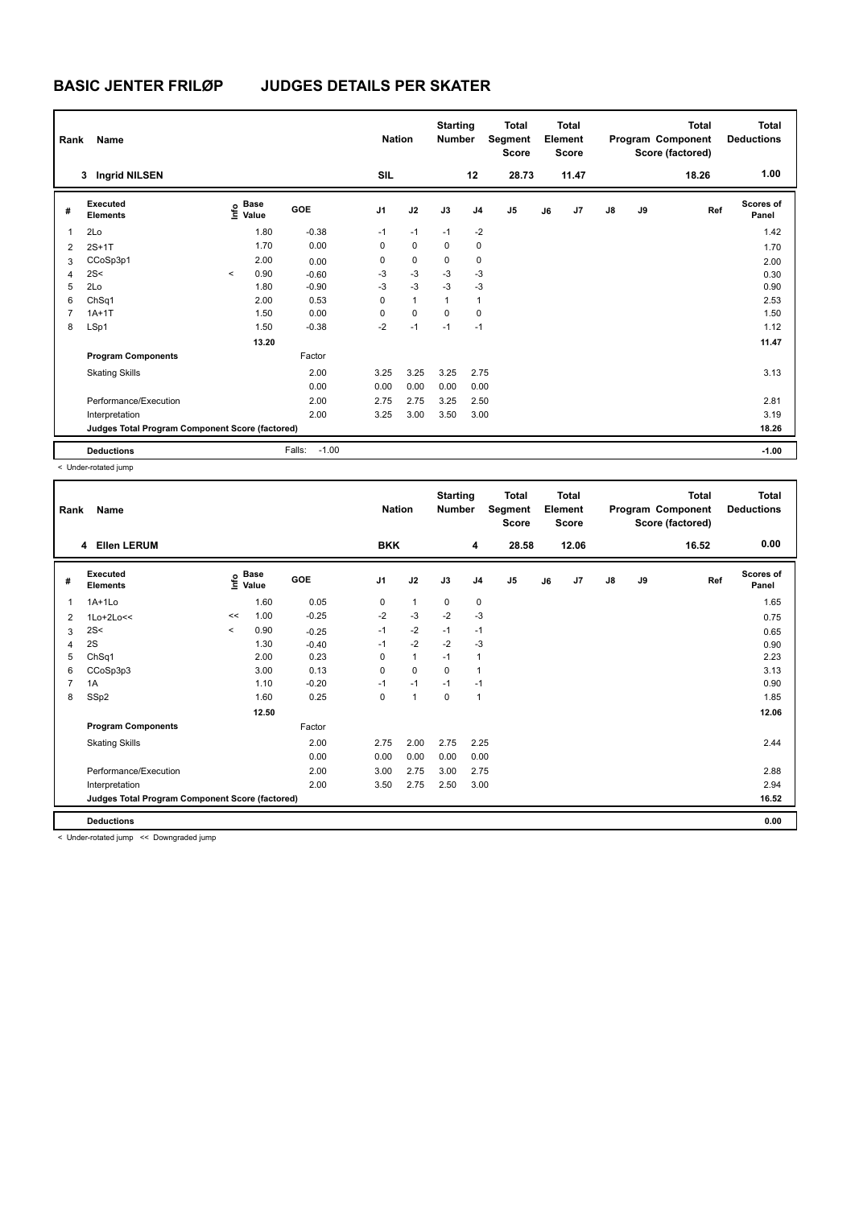| Rank           | Name                                            |         |                      |                   | <b>Nation</b>  |              | <b>Starting</b><br><b>Number</b> |                | <b>Total</b><br>Segment<br><b>Score</b> |    | <b>Total</b><br>Element<br><b>Score</b> |               |    | <b>Total</b><br>Program Component<br>Score (factored) | <b>Total</b><br><b>Deductions</b> |
|----------------|-------------------------------------------------|---------|----------------------|-------------------|----------------|--------------|----------------------------------|----------------|-----------------------------------------|----|-----------------------------------------|---------------|----|-------------------------------------------------------|-----------------------------------|
|                | <b>Ingrid NILSEN</b><br>3                       |         |                      |                   | SIL            |              |                                  | 12             | 28.73                                   |    | 11.47                                   |               |    | 18.26                                                 | 1.00                              |
| #              | Executed<br><b>Elements</b>                     | lnfo    | <b>Base</b><br>Value | GOE               | J <sub>1</sub> | J2           | J3                               | J <sub>4</sub> | J <sub>5</sub>                          | J6 | J <sub>7</sub>                          | $\mathsf{J}8$ | J9 | Ref                                                   | <b>Scores of</b><br>Panel         |
| $\mathbf{1}$   | 2Lo                                             |         | 1.80                 | $-0.38$           | $-1$           | $-1$         | $-1$                             | $-2$           |                                         |    |                                         |               |    |                                                       | 1.42                              |
| 2              | $2S+1T$                                         |         | 1.70                 | 0.00              | 0              | $\mathbf 0$  | $\mathbf 0$                      | $\mathbf 0$    |                                         |    |                                         |               |    |                                                       | 1.70                              |
| 3              | CCoSp3p1                                        |         | 2.00                 | 0.00              | 0              | $\mathbf 0$  | 0                                | 0              |                                         |    |                                         |               |    |                                                       | 2.00                              |
| 4              | 2S<                                             | $\prec$ | 0.90                 | $-0.60$           | $-3$           | $-3$         | $-3$                             | $-3$           |                                         |    |                                         |               |    |                                                       | 0.30                              |
| 5              | 2Lo                                             |         | 1.80                 | $-0.90$           | $-3$           | $-3$         | $-3$                             | $-3$           |                                         |    |                                         |               |    |                                                       | 0.90                              |
| 6              | ChSq1                                           |         | 2.00                 | 0.53              | 0              | $\mathbf{1}$ | 1                                | $\mathbf{1}$   |                                         |    |                                         |               |    |                                                       | 2.53                              |
| $\overline{7}$ | $1A+1T$                                         |         | 1.50                 | 0.00              | 0              | 0            | 0                                | 0              |                                         |    |                                         |               |    |                                                       | 1.50                              |
| 8              | LSp1                                            |         | 1.50                 | $-0.38$           | $-2$           | $-1$         | $-1$                             | $-1$           |                                         |    |                                         |               |    |                                                       | 1.12                              |
|                |                                                 |         | 13.20                |                   |                |              |                                  |                |                                         |    |                                         |               |    |                                                       | 11.47                             |
|                | <b>Program Components</b>                       |         |                      | Factor            |                |              |                                  |                |                                         |    |                                         |               |    |                                                       |                                   |
|                | <b>Skating Skills</b>                           |         |                      | 2.00              | 3.25           | 3.25         | 3.25                             | 2.75           |                                         |    |                                         |               |    |                                                       | 3.13                              |
|                |                                                 |         |                      | 0.00              | 0.00           | 0.00         | 0.00                             | 0.00           |                                         |    |                                         |               |    |                                                       |                                   |
|                | Performance/Execution                           |         |                      | 2.00              | 2.75           | 2.75         | 3.25                             | 2.50           |                                         |    |                                         |               |    |                                                       | 2.81                              |
|                | Interpretation                                  |         |                      | 2.00              | 3.25           | 3.00         | 3.50                             | 3.00           |                                         |    |                                         |               |    |                                                       | 3.19                              |
|                | Judges Total Program Component Score (factored) |         |                      |                   |                |              |                                  |                |                                         |    |                                         |               |    |                                                       | 18.26                             |
|                | <b>Deductions</b>                               |         |                      | $-1.00$<br>Falls: |                |              |                                  |                |                                         |    |                                         |               |    |                                                       | $-1.00$                           |

< Under-rotated jump

| Rank | Name                                            |         |                                  |         | <b>Nation</b> |              | <b>Starting</b><br><b>Number</b> |                | <b>Total</b><br>Segment<br><b>Score</b> |    | <b>Total</b><br>Element<br><b>Score</b> |               |    | <b>Total</b><br>Program Component<br>Score (factored) | <b>Total</b><br><b>Deductions</b> |
|------|-------------------------------------------------|---------|----------------------------------|---------|---------------|--------------|----------------------------------|----------------|-----------------------------------------|----|-----------------------------------------|---------------|----|-------------------------------------------------------|-----------------------------------|
|      | 4 Ellen LERUM                                   |         |                                  |         | <b>BKK</b>    |              |                                  | 4              | 28.58                                   |    | 12.06                                   |               |    | 16.52                                                 | 0.00                              |
| #    | Executed<br><b>Elements</b>                     |         | <b>Base</b><br>e Base<br>⊑ Value | GOE     | J1            | J2           | J3                               | J <sub>4</sub> | J <sub>5</sub>                          | J6 | J7                                      | $\mathsf{J}8$ | J9 | Ref                                                   | <b>Scores of</b><br>Panel         |
| 1    | $1A+1L0$                                        |         | 1.60                             | 0.05    | $\mathbf 0$   | $\mathbf{1}$ | $\mathbf 0$                      | $\pmb{0}$      |                                         |    |                                         |               |    |                                                       | 1.65                              |
| 2    | $1$ Lo+ $2$ Lo<<                                | <<      | 1.00                             | $-0.25$ | $-2$          | $-3$         | $-2$                             | $-3$           |                                         |    |                                         |               |    |                                                       | 0.75                              |
| 3    | 2S<                                             | $\prec$ | 0.90                             | $-0.25$ | $-1$          | $-2$         | $-1$                             | $-1$           |                                         |    |                                         |               |    |                                                       | 0.65                              |
| 4    | 2S                                              |         | 1.30                             | $-0.40$ | $-1$          | $-2$         | $-2$                             | $-3$           |                                         |    |                                         |               |    |                                                       | 0.90                              |
| 5    | Ch <sub>Sq1</sub>                               |         | 2.00                             | 0.23    | 0             | $\mathbf{1}$ | $-1$                             | 1              |                                         |    |                                         |               |    |                                                       | 2.23                              |
| 6    | CCoSp3p3                                        |         | 3.00                             | 0.13    | 0             | 0            | $\Omega$                         | $\mathbf{1}$   |                                         |    |                                         |               |    |                                                       | 3.13                              |
| 7    | 1A                                              |         | 1.10                             | $-0.20$ | $-1$          | $-1$         | $-1$                             | $-1$           |                                         |    |                                         |               |    |                                                       | 0.90                              |
| 8    | SSp2                                            |         | 1.60                             | 0.25    | 0             | $\mathbf{1}$ | $\mathbf 0$                      | 1              |                                         |    |                                         |               |    |                                                       | 1.85                              |
|      |                                                 |         | 12.50                            |         |               |              |                                  |                |                                         |    |                                         |               |    |                                                       | 12.06                             |
|      | <b>Program Components</b>                       |         |                                  | Factor  |               |              |                                  |                |                                         |    |                                         |               |    |                                                       |                                   |
|      | <b>Skating Skills</b>                           |         |                                  | 2.00    | 2.75          | 2.00         | 2.75                             | 2.25           |                                         |    |                                         |               |    |                                                       | 2.44                              |
|      |                                                 |         |                                  | 0.00    | 0.00          | 0.00         | 0.00                             | 0.00           |                                         |    |                                         |               |    |                                                       |                                   |
|      | Performance/Execution                           |         |                                  | 2.00    | 3.00          | 2.75         | 3.00                             | 2.75           |                                         |    |                                         |               |    |                                                       | 2.88                              |
|      | Interpretation                                  |         |                                  | 2.00    | 3.50          | 2.75         | 2.50                             | 3.00           |                                         |    |                                         |               |    |                                                       | 2.94                              |
|      | Judges Total Program Component Score (factored) |         |                                  |         |               |              |                                  |                |                                         |    |                                         |               |    |                                                       | 16.52                             |
|      | <b>Deductions</b>                               |         |                                  |         |               |              |                                  |                |                                         |    |                                         |               |    |                                                       | 0.00                              |

< Under-rotated jump << Downgraded jump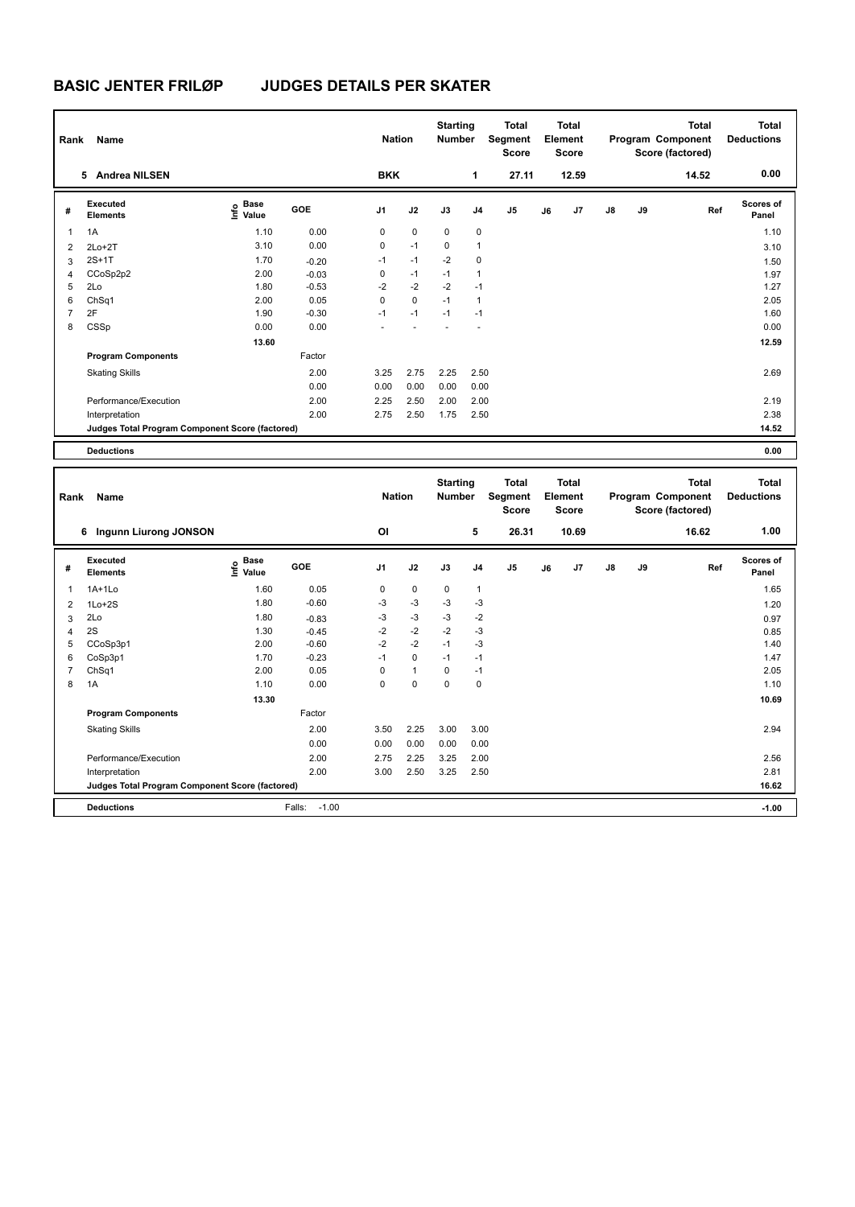| Rank           | <b>Name</b>                                     |                                    |         | <b>Nation</b>  |             | <b>Starting</b><br><b>Number</b> |                | <b>Total</b><br>Segment<br><b>Score</b> |    | <b>Total</b><br>Element<br><b>Score</b> |               |    | Total<br>Program Component<br>Score (factored) | <b>Total</b><br><b>Deductions</b> |
|----------------|-------------------------------------------------|------------------------------------|---------|----------------|-------------|----------------------------------|----------------|-----------------------------------------|----|-----------------------------------------|---------------|----|------------------------------------------------|-----------------------------------|
|                | <b>Andrea NILSEN</b><br>5.                      |                                    |         | <b>BKK</b>     |             |                                  | 1              | 27.11                                   |    | 12.59                                   |               |    | 14.52                                          | 0.00                              |
| #              | Executed<br><b>Elements</b>                     | <b>Base</b><br>$\frac{6}{5}$ Value | GOE     | J <sub>1</sub> | J2          | J3                               | J <sub>4</sub> | J <sub>5</sub>                          | J6 | J7                                      | $\mathsf{J}8$ | J9 | Ref                                            | <b>Scores of</b><br>Panel         |
| $\mathbf{1}$   | 1A                                              | 1.10                               | 0.00    | 0              | $\mathbf 0$ | 0                                | 0              |                                         |    |                                         |               |    |                                                | 1.10                              |
| 2              | $2Lo+2T$                                        | 3.10                               | 0.00    | 0              | $-1$        | $\mathbf 0$                      | $\overline{1}$ |                                         |    |                                         |               |    |                                                | 3.10                              |
| 3              | $2S+1T$                                         | 1.70                               | $-0.20$ | $-1$           | $-1$        | $-2$                             | 0              |                                         |    |                                         |               |    |                                                | 1.50                              |
| 4              | CCoSp2p2                                        | 2.00                               | $-0.03$ | 0              | $-1$        | $-1$                             | $\overline{1}$ |                                         |    |                                         |               |    |                                                | 1.97                              |
| 5              | 2Lo                                             | 1.80                               | $-0.53$ | $-2$           | $-2$        | $-2$                             | $-1$           |                                         |    |                                         |               |    |                                                | 1.27                              |
| 6              | ChSq1                                           | 2.00                               | 0.05    | $\Omega$       | $\mathbf 0$ | $-1$                             | $\overline{1}$ |                                         |    |                                         |               |    |                                                | 2.05                              |
| $\overline{7}$ | 2F                                              | 1.90                               | $-0.30$ | $-1$           | $-1$        | $-1$                             | $-1$           |                                         |    |                                         |               |    |                                                | 1.60                              |
| 8              | CSSp                                            | 0.00                               | 0.00    |                |             |                                  |                |                                         |    |                                         |               |    |                                                | 0.00                              |
|                |                                                 | 13.60                              |         |                |             |                                  |                |                                         |    |                                         |               |    |                                                | 12.59                             |
|                | <b>Program Components</b>                       |                                    | Factor  |                |             |                                  |                |                                         |    |                                         |               |    |                                                |                                   |
|                | <b>Skating Skills</b>                           |                                    | 2.00    | 3.25           | 2.75        | 2.25                             | 2.50           |                                         |    |                                         |               |    |                                                | 2.69                              |
|                |                                                 |                                    | 0.00    | 0.00           | 0.00        | 0.00                             | 0.00           |                                         |    |                                         |               |    |                                                |                                   |
|                | Performance/Execution                           |                                    | 2.00    | 2.25           | 2.50        | 2.00                             | 2.00           |                                         |    |                                         |               |    |                                                | 2.19                              |
|                | Interpretation                                  |                                    | 2.00    | 2.75           | 2.50        | 1.75                             | 2.50           |                                         |    |                                         |               |    |                                                | 2.38                              |
|                | Judges Total Program Component Score (factored) |                                    |         |                |             |                                  |                |                                         |    |                                         |               |    |                                                | 14.52                             |
|                | <b>Deductions</b>                               |                                    |         |                |             |                                  |                |                                         |    |                                         |               |    |                                                | 0.00                              |

| Rank           | <b>Name</b>                                     |                                           |                   | <b>Nation</b>  |              | <b>Starting</b><br><b>Number</b> |                | <b>Total</b><br>Segment<br><b>Score</b> |    | <b>Total</b><br>Element<br><b>Score</b> |               |    | <b>Total</b><br>Program Component<br>Score (factored) | <b>Total</b><br><b>Deductions</b> |
|----------------|-------------------------------------------------|-------------------------------------------|-------------------|----------------|--------------|----------------------------------|----------------|-----------------------------------------|----|-----------------------------------------|---------------|----|-------------------------------------------------------|-----------------------------------|
|                | 6 Ingunn Liurong JONSON                         |                                           |                   | OI             |              |                                  | 5              | 26.31                                   |    | 10.69                                   |               |    | 16.62                                                 | 1.00                              |
| #              | Executed<br><b>Elements</b>                     | $\frac{e}{E}$ Base<br>$\frac{E}{E}$ Value | <b>GOE</b>        | J <sub>1</sub> | J2           | J3                               | J <sub>4</sub> | J <sub>5</sub>                          | J6 | J7                                      | $\mathsf{J}8$ | J9 | Ref                                                   | <b>Scores of</b><br>Panel         |
| -1             | $1A+1L0$                                        | 1.60                                      | 0.05              | 0              | $\mathbf 0$  | 0                                | 1              |                                         |    |                                         |               |    |                                                       | 1.65                              |
| 2              | $1Lo+2S$                                        | 1.80                                      | $-0.60$           | $-3$           | -3           | $-3$                             | $-3$           |                                         |    |                                         |               |    |                                                       | 1.20                              |
| 3              | 2Lo                                             | 1.80                                      | $-0.83$           | -3             | $-3$         | -3                               | $-2$           |                                         |    |                                         |               |    |                                                       | 0.97                              |
| $\overline{4}$ | 2S                                              | 1.30                                      | $-0.45$           | $-2$           | $-2$         | $-2$                             | $-3$           |                                         |    |                                         |               |    |                                                       | 0.85                              |
| 5              | CCoSp3p1                                        | 2.00                                      | $-0.60$           | $-2$           | $-2$         | $-1$                             | $-3$           |                                         |    |                                         |               |    |                                                       | 1.40                              |
| 6              | CoSp3p1                                         | 1.70                                      | $-0.23$           | $-1$           | $\mathbf 0$  | $-1$                             | $-1$           |                                         |    |                                         |               |    |                                                       | 1.47                              |
| 7              | ChSq1                                           | 2.00                                      | 0.05              | 0              | $\mathbf{1}$ | 0                                | $-1$           |                                         |    |                                         |               |    |                                                       | 2.05                              |
| 8              | 1A                                              | 1.10                                      | 0.00              | 0              | $\pmb{0}$    | $\mathbf 0$                      | 0              |                                         |    |                                         |               |    |                                                       | 1.10                              |
|                |                                                 | 13.30                                     |                   |                |              |                                  |                |                                         |    |                                         |               |    |                                                       | 10.69                             |
|                | <b>Program Components</b>                       |                                           | Factor            |                |              |                                  |                |                                         |    |                                         |               |    |                                                       |                                   |
|                | <b>Skating Skills</b>                           |                                           | 2.00              | 3.50           | 2.25         | 3.00                             | 3.00           |                                         |    |                                         |               |    |                                                       | 2.94                              |
|                |                                                 |                                           | 0.00              | 0.00           | 0.00         | 0.00                             | 0.00           |                                         |    |                                         |               |    |                                                       |                                   |
|                | Performance/Execution                           |                                           | 2.00              | 2.75           | 2.25         | 3.25                             | 2.00           |                                         |    |                                         |               |    |                                                       | 2.56                              |
|                | Interpretation                                  |                                           | 2.00              | 3.00           | 2.50         | 3.25                             | 2.50           |                                         |    |                                         |               |    |                                                       | 2.81                              |
|                | Judges Total Program Component Score (factored) |                                           |                   |                |              |                                  |                |                                         |    |                                         |               |    |                                                       | 16.62                             |
|                | <b>Deductions</b>                               |                                           | $-1.00$<br>Falls: |                |              |                                  |                |                                         |    |                                         |               |    |                                                       | $-1.00$                           |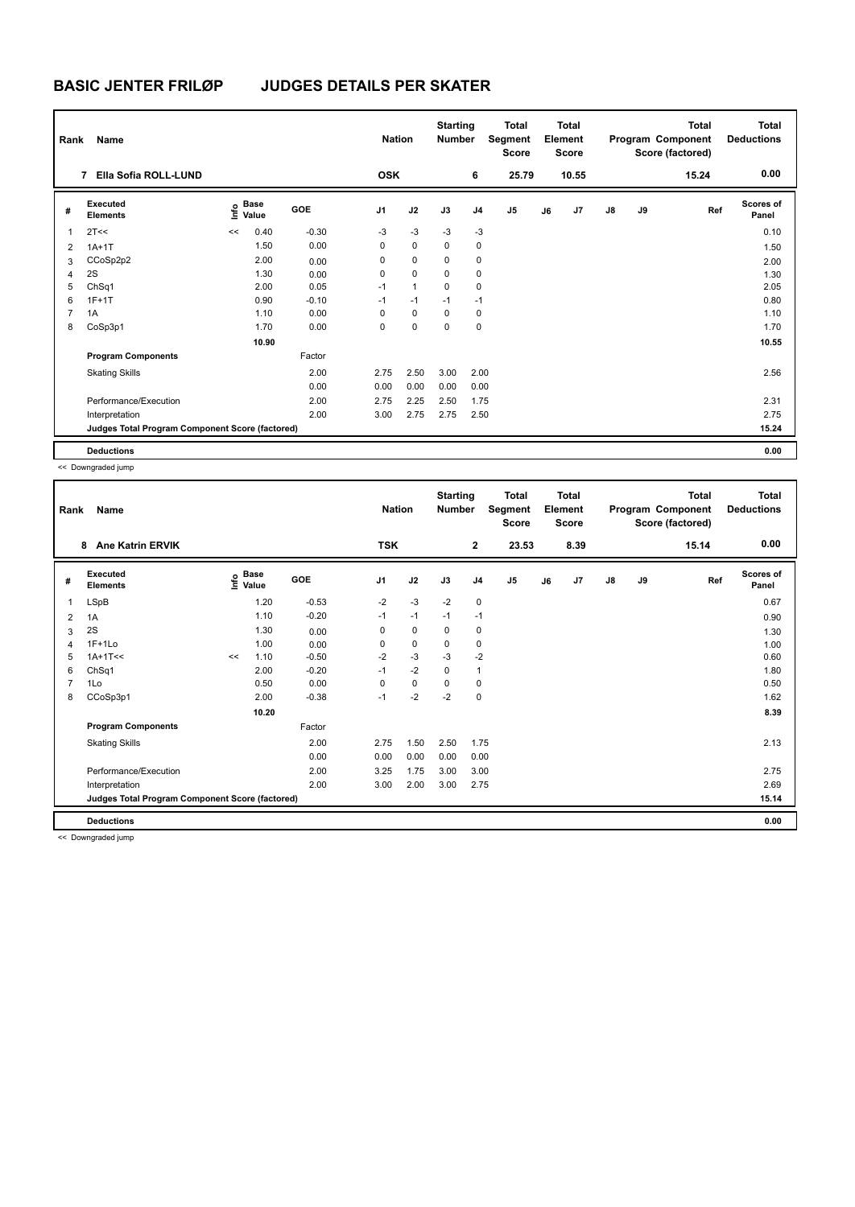| Rank           | Name                                            |    |                                      |         | <b>Nation</b>  |              | <b>Starting</b><br><b>Number</b> |                | <b>Total</b><br>Segment<br>Score |    | <b>Total</b><br>Element<br><b>Score</b> |               |    | <b>Total</b><br>Program Component<br>Score (factored) | Total<br><b>Deductions</b> |
|----------------|-------------------------------------------------|----|--------------------------------------|---------|----------------|--------------|----------------------------------|----------------|----------------------------------|----|-----------------------------------------|---------------|----|-------------------------------------------------------|----------------------------|
|                | Ella Sofia ROLL-LUND<br>7                       |    |                                      |         | <b>OSK</b>     |              |                                  | 6              | 25.79                            |    | 10.55                                   |               |    | 15.24                                                 | 0.00                       |
| #              | Executed<br><b>Elements</b>                     |    | Base<br>e <sup>Base</sup><br>⊆ Value | GOE     | J <sub>1</sub> | J2           | J3                               | J <sub>4</sub> | J <sub>5</sub>                   | J6 | J7                                      | $\mathsf{J}8$ | J9 | Ref                                                   | <b>Scores of</b><br>Panel  |
| $\overline{1}$ | 2T<<                                            | << | 0.40                                 | $-0.30$ | $-3$           | $-3$         | $-3$                             | $-3$           |                                  |    |                                         |               |    |                                                       | 0.10                       |
| $\overline{2}$ | $1A+1T$                                         |    | 1.50                                 | 0.00    | 0              | $\mathbf 0$  | $\Omega$                         | $\mathbf 0$    |                                  |    |                                         |               |    |                                                       | 1.50                       |
| 3              | CCoSp2p2                                        |    | 2.00                                 | 0.00    | 0              | $\mathbf 0$  | 0                                | 0              |                                  |    |                                         |               |    |                                                       | 2.00                       |
| 4              | 2S                                              |    | 1.30                                 | 0.00    | 0              | $\mathbf 0$  | 0                                | 0              |                                  |    |                                         |               |    |                                                       | 1.30                       |
| 5              | ChSq1                                           |    | 2.00                                 | 0.05    | $-1$           | $\mathbf{1}$ | $\Omega$                         | 0              |                                  |    |                                         |               |    |                                                       | 2.05                       |
| 6              | $1F+1T$                                         |    | 0.90                                 | $-0.10$ | $-1$           | $-1$         | $-1$                             | $-1$           |                                  |    |                                         |               |    |                                                       | 0.80                       |
| $\overline{7}$ | 1A                                              |    | 1.10                                 | 0.00    | 0              | 0            | 0                                | 0              |                                  |    |                                         |               |    |                                                       | 1.10                       |
| 8              | CoSp3p1                                         |    | 1.70                                 | 0.00    | 0              | 0            | 0                                | 0              |                                  |    |                                         |               |    |                                                       | 1.70                       |
|                |                                                 |    | 10.90                                |         |                |              |                                  |                |                                  |    |                                         |               |    |                                                       | 10.55                      |
|                | <b>Program Components</b>                       |    |                                      | Factor  |                |              |                                  |                |                                  |    |                                         |               |    |                                                       |                            |
|                | <b>Skating Skills</b>                           |    |                                      | 2.00    | 2.75           | 2.50         | 3.00                             | 2.00           |                                  |    |                                         |               |    |                                                       | 2.56                       |
|                |                                                 |    |                                      | 0.00    | 0.00           | 0.00         | 0.00                             | 0.00           |                                  |    |                                         |               |    |                                                       |                            |
|                | Performance/Execution                           |    |                                      | 2.00    | 2.75           | 2.25         | 2.50                             | 1.75           |                                  |    |                                         |               |    |                                                       | 2.31                       |
|                | Interpretation                                  |    |                                      | 2.00    | 3.00           | 2.75         | 2.75                             | 2.50           |                                  |    |                                         |               |    |                                                       | 2.75                       |
|                | Judges Total Program Component Score (factored) |    |                                      |         |                |              |                                  |                |                                  |    |                                         |               |    |                                                       | 15.24                      |
|                | <b>Deductions</b>                               |    |                                      |         |                |              |                                  |                |                                  |    |                                         |               |    |                                                       | 0.00                       |

<< Downgraded jump

| Rank | <b>Name</b>                                     |    |                                             |         | <b>Nation</b> |             | <b>Starting</b><br><b>Number</b> |                | <b>Total</b><br>Segment<br><b>Score</b> |    | <b>Total</b><br>Element<br><b>Score</b> |               |    | <b>Total</b><br>Program Component<br>Score (factored) | <b>Total</b><br><b>Deductions</b> |
|------|-------------------------------------------------|----|---------------------------------------------|---------|---------------|-------------|----------------------------------|----------------|-----------------------------------------|----|-----------------------------------------|---------------|----|-------------------------------------------------------|-----------------------------------|
|      | <b>Ane Katrin ERVIK</b><br>8                    |    |                                             |         | <b>TSK</b>    |             |                                  | $\overline{2}$ | 23.53                                   |    | 8.39                                    |               |    | 15.14                                                 | 0.00                              |
| #    | Executed<br><b>Elements</b>                     |    | <b>Base</b><br>e <sup>Base</sup><br>⊆ Value | GOE     | J1            | J2          | J3                               | J <sub>4</sub> | J5                                      | J6 | J7                                      | $\mathsf{J}8$ | J9 | Ref                                                   | Scores of<br>Panel                |
| 1    | LSpB                                            |    | 1.20                                        | $-0.53$ | $-2$          | $-3$        | $-2$                             | $\mathbf 0$    |                                         |    |                                         |               |    |                                                       | 0.67                              |
| 2    | 1A                                              |    | 1.10                                        | $-0.20$ | $-1$          | $-1$        | $-1$                             | $-1$           |                                         |    |                                         |               |    |                                                       | 0.90                              |
| 3    | 2S                                              |    | 1.30                                        | 0.00    | 0             | $\mathbf 0$ | 0                                | 0              |                                         |    |                                         |               |    |                                                       | 1.30                              |
| 4    | $1F+1Lo$                                        |    | 1.00                                        | 0.00    | 0             | 0           | 0                                | 0              |                                         |    |                                         |               |    |                                                       | 1.00                              |
| 5    | $1A+1T<<$                                       | << | 1.10                                        | $-0.50$ | $-2$          | $-3$        | $-3$                             | $-2$           |                                         |    |                                         |               |    |                                                       | 0.60                              |
| 6    | ChSq1                                           |    | 2.00                                        | $-0.20$ | $-1$          | $-2$        | $\Omega$                         | $\mathbf{1}$   |                                         |    |                                         |               |    |                                                       | 1.80                              |
| 7    | 1Lo                                             |    | 0.50                                        | 0.00    | 0             | 0           | $\Omega$                         | 0              |                                         |    |                                         |               |    |                                                       | 0.50                              |
| 8    | CCoSp3p1                                        |    | 2.00                                        | $-0.38$ | $-1$          | $-2$        | $-2$                             | $\mathbf 0$    |                                         |    |                                         |               |    |                                                       | 1.62                              |
|      |                                                 |    | 10.20                                       |         |               |             |                                  |                |                                         |    |                                         |               |    |                                                       | 8.39                              |
|      | <b>Program Components</b>                       |    |                                             | Factor  |               |             |                                  |                |                                         |    |                                         |               |    |                                                       |                                   |
|      | <b>Skating Skills</b>                           |    |                                             | 2.00    | 2.75          | 1.50        | 2.50                             | 1.75           |                                         |    |                                         |               |    |                                                       | 2.13                              |
|      |                                                 |    |                                             | 0.00    | 0.00          | 0.00        | 0.00                             | 0.00           |                                         |    |                                         |               |    |                                                       |                                   |
|      | Performance/Execution                           |    |                                             | 2.00    | 3.25          | 1.75        | 3.00                             | 3.00           |                                         |    |                                         |               |    |                                                       | 2.75                              |
|      | Interpretation                                  |    |                                             | 2.00    | 3.00          | 2.00        | 3.00                             | 2.75           |                                         |    |                                         |               |    |                                                       | 2.69                              |
|      | Judges Total Program Component Score (factored) |    |                                             |         |               |             |                                  |                |                                         |    |                                         |               |    |                                                       | 15.14                             |
|      | <b>Deductions</b>                               |    |                                             |         |               |             |                                  |                |                                         |    |                                         |               |    |                                                       | 0.00                              |

<< Downgraded jump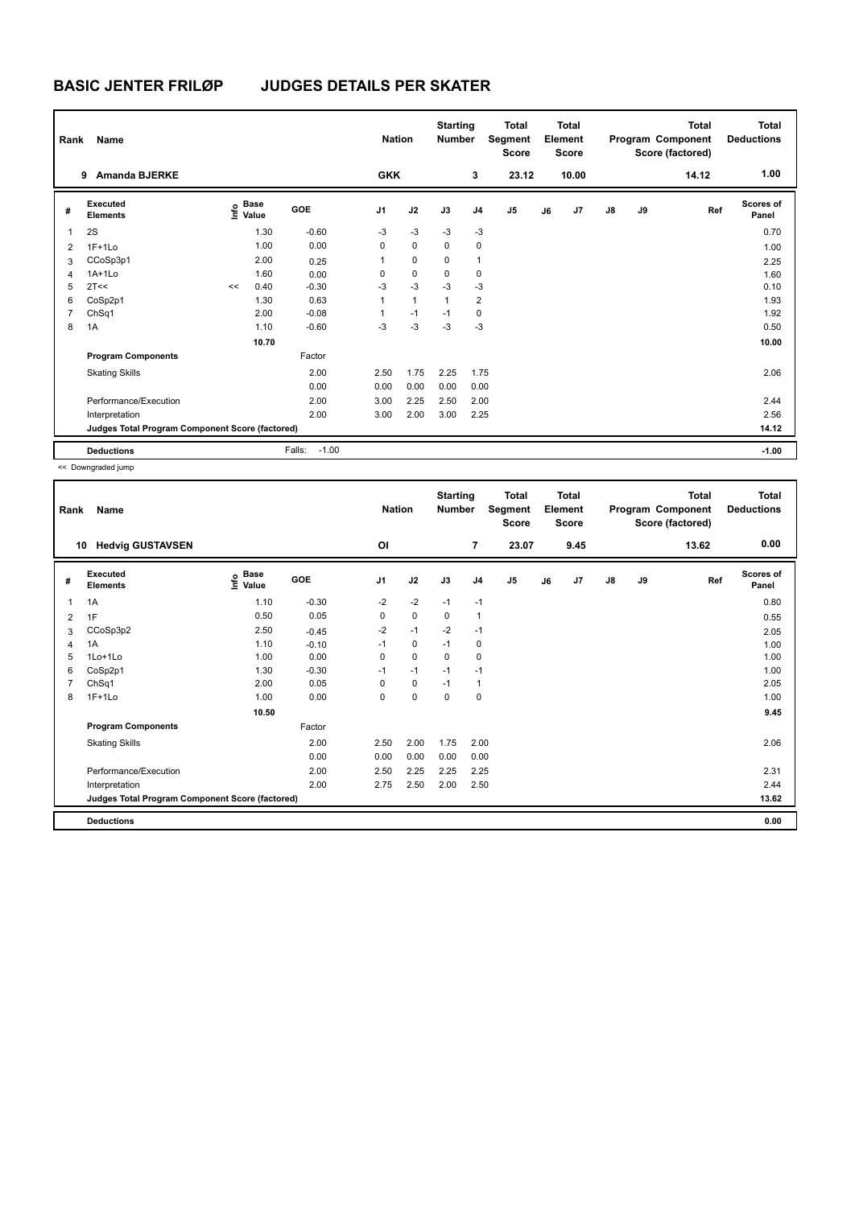| Rank           | Name                                            |    |                                      |                   | <b>Nation</b>  |              | <b>Starting</b><br><b>Number</b> |                | <b>Total</b><br>Segment<br><b>Score</b> |    | Total<br>Element<br><b>Score</b> |               |    | <b>Total</b><br>Program Component<br>Score (factored) | <b>Total</b><br><b>Deductions</b> |
|----------------|-------------------------------------------------|----|--------------------------------------|-------------------|----------------|--------------|----------------------------------|----------------|-----------------------------------------|----|----------------------------------|---------------|----|-------------------------------------------------------|-----------------------------------|
|                | <b>Amanda BJERKE</b><br>9                       |    |                                      |                   | <b>GKK</b>     |              |                                  | 3              | 23.12                                   |    | 10.00                            |               |    | 14.12                                                 | 1.00                              |
| #              | Executed<br><b>Elements</b>                     |    | Base<br>e <sup>Base</sup><br>⊆ Value | GOE               | J <sub>1</sub> | J2           | J3                               | J <sub>4</sub> | J <sub>5</sub>                          | J6 | J7                               | $\mathsf{J}8$ | J9 | Ref                                                   | <b>Scores of</b><br>Panel         |
| $\overline{1}$ | 2S                                              |    | 1.30                                 | $-0.60$           | $-3$           | $-3$         | $-3$                             | $-3$           |                                         |    |                                  |               |    |                                                       | 0.70                              |
| 2              | $1F+1Lo$                                        |    | 1.00                                 | 0.00              | 0              | $\mathbf 0$  | $\mathbf 0$                      | $\mathbf 0$    |                                         |    |                                  |               |    |                                                       | 1.00                              |
| 3              | CCoSp3p1                                        |    | 2.00                                 | 0.25              | 1              | $\mathbf 0$  | 0                                | $\mathbf{1}$   |                                         |    |                                  |               |    |                                                       | 2.25                              |
| 4              | $1A+1Lo$                                        |    | 1.60                                 | 0.00              | 0              | $\mathbf 0$  | 0                                | 0              |                                         |    |                                  |               |    |                                                       | 1.60                              |
| 5              | 2T<<                                            | << | 0.40                                 | $-0.30$           | $-3$           | $-3$         | $-3$                             | $-3$           |                                         |    |                                  |               |    |                                                       | 0.10                              |
| 6              | CoSp2p1                                         |    | 1.30                                 | 0.63              | 1              | $\mathbf{1}$ | 1                                | $\overline{2}$ |                                         |    |                                  |               |    |                                                       | 1.93                              |
| 7              | ChSq1                                           |    | 2.00                                 | $-0.08$           | 1              | $-1$         | $-1$                             | 0              |                                         |    |                                  |               |    |                                                       | 1.92                              |
| 8              | 1A                                              |    | 1.10                                 | $-0.60$           | $-3$           | $-3$         | $-3$                             | $-3$           |                                         |    |                                  |               |    |                                                       | 0.50                              |
|                |                                                 |    | 10.70                                |                   |                |              |                                  |                |                                         |    |                                  |               |    |                                                       | 10.00                             |
|                | <b>Program Components</b>                       |    |                                      | Factor            |                |              |                                  |                |                                         |    |                                  |               |    |                                                       |                                   |
|                | <b>Skating Skills</b>                           |    |                                      | 2.00              | 2.50           | 1.75         | 2.25                             | 1.75           |                                         |    |                                  |               |    |                                                       | 2.06                              |
|                |                                                 |    |                                      | 0.00              | 0.00           | 0.00         | 0.00                             | 0.00           |                                         |    |                                  |               |    |                                                       |                                   |
|                | Performance/Execution                           |    |                                      | 2.00              | 3.00           | 2.25         | 2.50                             | 2.00           |                                         |    |                                  |               |    |                                                       | 2.44                              |
|                | Interpretation                                  |    |                                      | 2.00              | 3.00           | 2.00         | 3.00                             | 2.25           |                                         |    |                                  |               |    |                                                       | 2.56                              |
|                | Judges Total Program Component Score (factored) |    |                                      |                   |                |              |                                  |                |                                         |    |                                  |               |    |                                                       | 14.12                             |
|                | <b>Deductions</b>                               |    |                                      | $-1.00$<br>Falls: |                |              |                                  |                |                                         |    |                                  |               |    |                                                       | $-1.00$                           |

<< Downgraded jump

| Rank | Name                                            |                   |         | <b>Nation</b>  |             | <b>Starting</b><br><b>Number</b> |                | Total<br>Segment<br><b>Score</b> |    | <b>Total</b><br>Element<br><b>Score</b> |               |    | <b>Total</b><br>Program Component<br>Score (factored) | Total<br><b>Deductions</b> |
|------|-------------------------------------------------|-------------------|---------|----------------|-------------|----------------------------------|----------------|----------------------------------|----|-----------------------------------------|---------------|----|-------------------------------------------------------|----------------------------|
|      | <b>Hedvig GUSTAVSEN</b><br>10                   |                   |         | <b>OI</b>      |             |                                  | $\overline{7}$ | 23.07                            |    | 9.45                                    |               |    | 13.62                                                 | 0.00                       |
| #    | <b>Executed</b><br><b>Elements</b>              | e Base<br>E Value | GOE     | J <sub>1</sub> | J2          | J3                               | J <sub>4</sub> | J <sub>5</sub>                   | J6 | J7                                      | $\mathsf{J}8$ | J9 | Ref                                                   | <b>Scores of</b><br>Panel  |
| 1    | 1A                                              | 1.10              | $-0.30$ | $-2$           | $-2$        | $-1$                             | $-1$           |                                  |    |                                         |               |    |                                                       | 0.80                       |
| 2    | 1F                                              | 0.50              | 0.05    | 0              | $\mathbf 0$ | 0                                | $\mathbf{1}$   |                                  |    |                                         |               |    |                                                       | 0.55                       |
| 3    | CCoSp3p2                                        | 2.50              | $-0.45$ | $-2$           | $-1$        | $-2$                             | $-1$           |                                  |    |                                         |               |    |                                                       | 2.05                       |
| 4    | 1A                                              | 1.10              | $-0.10$ | $-1$           | 0           | $-1$                             | 0              |                                  |    |                                         |               |    |                                                       | 1.00                       |
| 5    | 1Lo+1Lo                                         | 1.00              | 0.00    | 0              | $\mathbf 0$ | 0                                | 0              |                                  |    |                                         |               |    |                                                       | 1.00                       |
| 6    | CoSp2p1                                         | 1.30              | $-0.30$ | $-1$           | $-1$        | $-1$                             | $-1$           |                                  |    |                                         |               |    |                                                       | 1.00                       |
| 7    | ChSq1                                           | 2.00              | 0.05    | 0              | 0           | $-1$                             | $\mathbf{1}$   |                                  |    |                                         |               |    |                                                       | 2.05                       |
| 8    | $1F+1Lo$                                        | 1.00              | 0.00    | 0              | $\mathbf 0$ | $\mathbf 0$                      | $\mathbf 0$    |                                  |    |                                         |               |    |                                                       | 1.00                       |
|      |                                                 | 10.50             |         |                |             |                                  |                |                                  |    |                                         |               |    |                                                       | 9.45                       |
|      | <b>Program Components</b>                       |                   | Factor  |                |             |                                  |                |                                  |    |                                         |               |    |                                                       |                            |
|      | <b>Skating Skills</b>                           |                   | 2.00    | 2.50           | 2.00        | 1.75                             | 2.00           |                                  |    |                                         |               |    |                                                       | 2.06                       |
|      |                                                 |                   | 0.00    | 0.00           | 0.00        | 0.00                             | 0.00           |                                  |    |                                         |               |    |                                                       |                            |
|      | Performance/Execution                           |                   | 2.00    | 2.50           | 2.25        | 2.25                             | 2.25           |                                  |    |                                         |               |    |                                                       | 2.31                       |
|      | Interpretation                                  |                   | 2.00    | 2.75           | 2.50        | 2.00                             | 2.50           |                                  |    |                                         |               |    |                                                       | 2.44                       |
|      | Judges Total Program Component Score (factored) |                   |         |                |             |                                  |                |                                  |    |                                         |               |    |                                                       | 13.62                      |
|      | <b>Deductions</b>                               |                   |         |                |             |                                  |                |                                  |    |                                         |               |    |                                                       | 0.00                       |